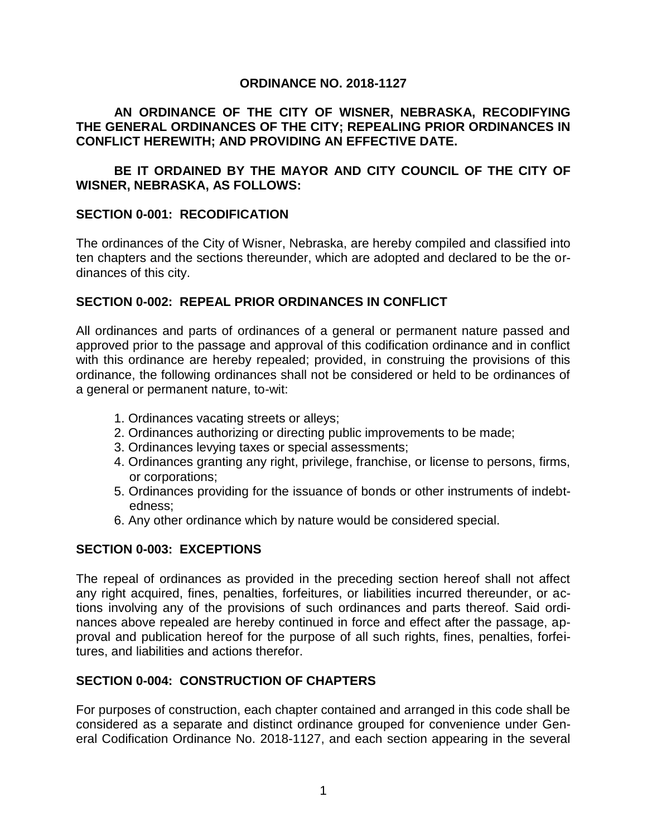#### **ORDINANCE NO. 2018-1127**

## **AN ORDINANCE OF THE CITY OF WISNER, NEBRASKA, RECODIFYING THE GENERAL ORDINANCES OF THE CITY; REPEALING PRIOR ORDINANCES IN CONFLICT HEREWITH; AND PROVIDING AN EFFECTIVE DATE.**

# **BE IT ORDAINED BY THE MAYOR AND CITY COUNCIL OF THE CITY OF WISNER, NEBRASKA, AS FOLLOWS:**

## **SECTION 0-001: RECODIFICATION**

The ordinances of the City of Wisner, Nebraska, are hereby compiled and classified into ten chapters and the sections thereunder, which are adopted and declared to be the ordinances of this city.

#### **SECTION 0-002: REPEAL PRIOR ORDINANCES IN CONFLICT**

All ordinances and parts of ordinances of a general or permanent nature passed and approved prior to the passage and approval of this codification ordinance and in conflict with this ordinance are hereby repealed; provided, in construing the provisions of this ordinance, the following ordinances shall not be considered or held to be ordinances of a general or permanent nature, to-wit:

- 1. Ordinances vacating streets or alleys;
- 2. Ordinances authorizing or directing public improvements to be made;
- 3. Ordinances levying taxes or special assessments;
- 4. Ordinances granting any right, privilege, franchise, or license to persons, firms, or corporations;
- 5. Ordinances providing for the issuance of bonds or other instruments of indebtedness;
- 6. Any other ordinance which by nature would be considered special.

## **SECTION 0-003: EXCEPTIONS**

The repeal of ordinances as provided in the preceding section hereof shall not affect any right acquired, fines, penalties, forfeitures, or liabilities incurred thereunder, or actions involving any of the provisions of such ordinances and parts thereof. Said ordinances above repealed are hereby continued in force and effect after the passage, approval and publication hereof for the purpose of all such rights, fines, penalties, forfeitures, and liabilities and actions therefor.

## **SECTION 0-004: CONSTRUCTION OF CHAPTERS**

For purposes of construction, each chapter contained and arranged in this code shall be considered as a separate and distinct ordinance grouped for convenience under General Codification Ordinance No. 2018-1127, and each section appearing in the several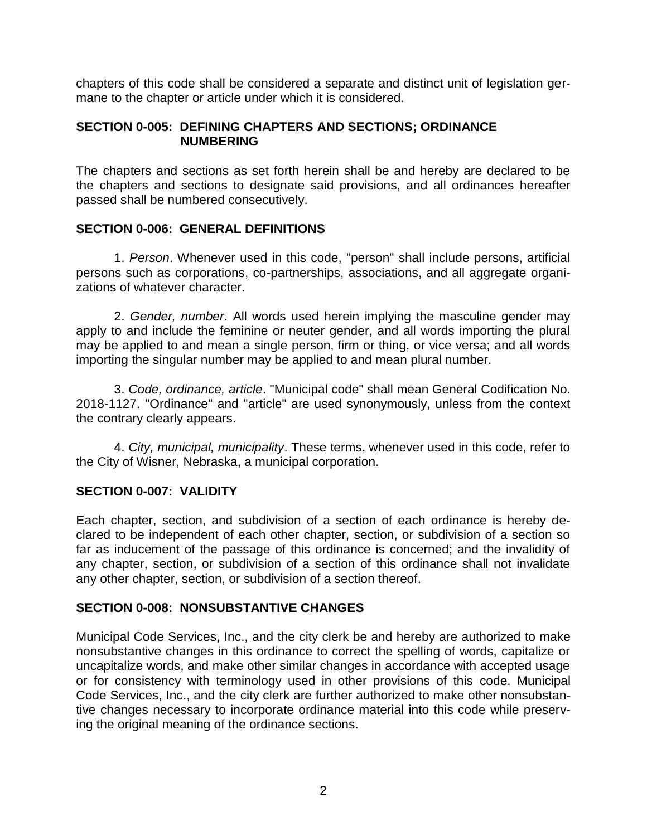chapters of this code shall be considered a separate and distinct unit of legislation germane to the chapter or article under which it is considered.

#### **SECTION 0-005: DEFINING CHAPTERS AND SECTIONS; ORDINANCE NUMBERING**

The chapters and sections as set forth herein shall be and hereby are declared to be the chapters and sections to designate said provisions, and all ordinances hereafter passed shall be numbered consecutively.

## **SECTION 0-006: GENERAL DEFINITIONS**

1. *Person*. Whenever used in this code, "person" shall include persons, artificial persons such as corporations, co-partnerships, associations, and all aggregate organizations of whatever character.

2. *Gender, number*. All words used herein implying the masculine gender may apply to and include the feminine or neuter gender, and all words importing the plural may be applied to and mean a single person, firm or thing, or vice versa; and all words importing the singular number may be applied to and mean plural number.

3. *Code, ordinance, article*. "Municipal code" shall mean General Codification No. 2018-1127. "Ordinance" and "article" are used synonymously, unless from the context the contrary clearly appears.

4. *City, municipal, municipality*. These terms, whenever used in this code, refer to the City of Wisner, Nebraska, a municipal corporation.

## **SECTION 0-007: VALIDITY**

Each chapter, section, and subdivision of a section of each ordinance is hereby declared to be independent of each other chapter, section, or subdivision of a section so far as inducement of the passage of this ordinance is concerned; and the invalidity of any chapter, section, or subdivision of a section of this ordinance shall not invalidate any other chapter, section, or subdivision of a section thereof.

## **SECTION 0-008: NONSUBSTANTIVE CHANGES**

Municipal Code Services, Inc., and the city clerk be and hereby are authorized to make nonsubstantive changes in this ordinance to correct the spelling of words, capitalize or uncapitalize words, and make other similar changes in accordance with accepted usage or for consistency with terminology used in other provisions of this code. Municipal Code Services, Inc., and the city clerk are further authorized to make other nonsubstantive changes necessary to incorporate ordinance material into this code while preserving the original meaning of the ordinance sections.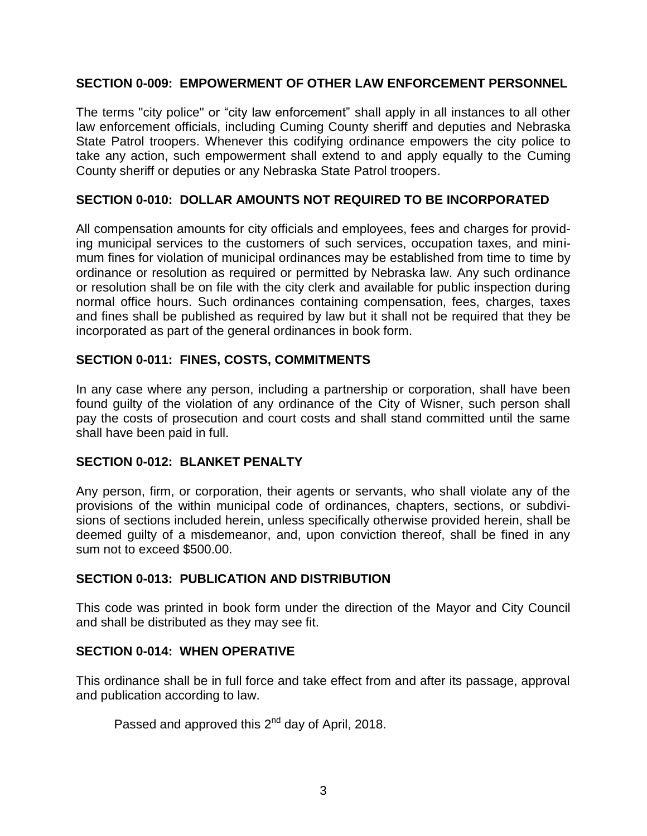## **SECTION 0-009: EMPOWERMENT OF OTHER LAW ENFORCEMENT PERSONNEL**

The terms "city police" or "city law enforcement" shall apply in all instances to all other law enforcement officials, including Cuming County sheriff and deputies and Nebraska State Patrol troopers. Whenever this codifying ordinance empowers the city police to take any action, such empowerment shall extend to and apply equally to the Cuming County sheriff or deputies or any Nebraska State Patrol troopers.

## **SECTION 0-010: DOLLAR AMOUNTS NOT REQUIRED TO BE INCORPORATED**

All compensation amounts for city officials and employees, fees and charges for providing municipal services to the customers of such services, occupation taxes, and minimum fines for violation of municipal ordinances may be established from time to time by ordinance or resolution as required or permitted by Nebraska law. Any such ordinance or resolution shall be on file with the city clerk and available for public inspection during normal office hours. Such ordinances containing compensation, fees, charges, taxes and fines shall be published as required by law but it shall not be required that they be incorporated as part of the general ordinances in book form.

# **SECTION 0-011: FINES, COSTS, COMMITMENTS**

In any case where any person, including a partnership or corporation, shall have been found guilty of the violation of any ordinance of the City of Wisner, such person shall pay the costs of prosecution and court costs and shall stand committed until the same shall have been paid in full.

## **SECTION 0-012: BLANKET PENALTY**

Any person, firm, or corporation, their agents or servants, who shall violate any of the provisions of the within municipal code of ordinances, chapters, sections, or subdivisions of sections included herein, unless specifically otherwise provided herein, shall be deemed guilty of a misdemeanor, and, upon conviction thereof, shall be fined in any sum not to exceed \$500.00.

## **SECTION 0-013: PUBLICATION AND DISTRIBUTION**

This code was printed in book form under the direction of the Mayor and City Council and shall be distributed as they may see fit.

# **SECTION 0-014: WHEN OPERATIVE**

This ordinance shall be in full force and take effect from and after its passage, approval and publication according to law.

Passed and approved this 2<sup>nd</sup> day of April, 2018.